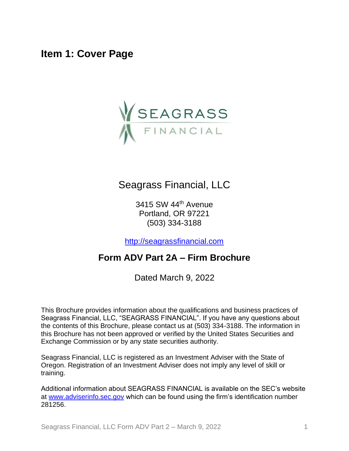<span id="page-0-0"></span>**Item 1: Cover Page**



## Seagrass Financial, LLC

3415 SW 44th Avenue Portland, OR 97221 (503) 334-3188

[http://seagrassfinancial.com](http://seagrassfinancial.com/)

## **Form ADV Part 2A – Firm Brochure**

Dated March 9, 2022

This Brochure provides information about the qualifications and business practices of Seagrass Financial, LLC, "SEAGRASS FINANCIAL". If you have any questions about the contents of this Brochure, please contact us at (503) 334-3188. The information in this Brochure has not been approved or verified by the United States Securities and Exchange Commission or by any state securities authority.

Seagrass Financial, LLC is registered as an Investment Adviser with the State of Oregon. Registration of an Investment Adviser does not imply any level of skill or training.

Additional information about SEAGRASS FINANCIAL is available on the SEC's website at [www.adviserinfo.sec.gov](http://www.adviserinfo.sec.gov/) which can be found using the firm's identification number 281256.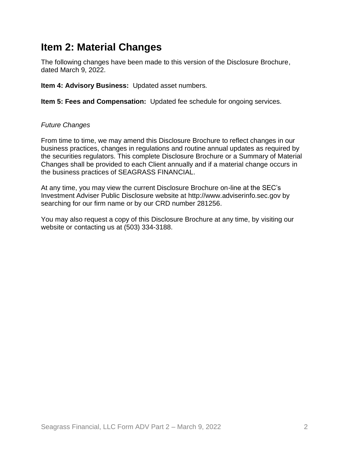## <span id="page-1-0"></span>**Item 2: Material Changes**

The following changes have been made to this version of the Disclosure Brochure, dated March 9, 2022.

**Item 4: Advisory Business:** Updated asset numbers.

**Item 5: Fees and Compensation:** Updated fee schedule for ongoing services.

#### *Future Changes*

From time to time, we may amend this Disclosure Brochure to reflect changes in our business practices, changes in regulations and routine annual updates as required by the securities regulators. This complete Disclosure Brochure or a Summary of Material Changes shall be provided to each Client annually and if a material change occurs in the business practices of SEAGRASS FINANCIAL.

At any time, you may view the current Disclosure Brochure on-line at the SEC's Investment Adviser Public Disclosure website at http://www.adviserinfo.sec.gov by searching for our firm name or by our CRD number 281256.

You may also request a copy of this Disclosure Brochure at any time, by visiting our website or contacting us at (503) 334-3188.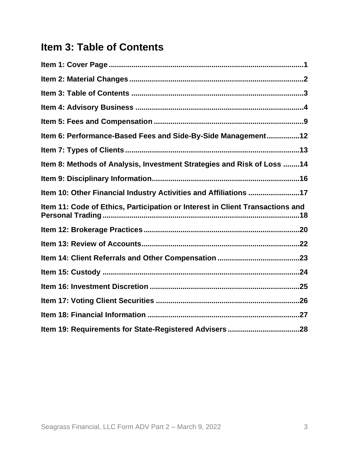# <span id="page-2-0"></span>**Item 3: Table of Contents**

| Item 6: Performance-Based Fees and Side-By-Side Management12                  |
|-------------------------------------------------------------------------------|
|                                                                               |
| Item 8: Methods of Analysis, Investment Strategies and Risk of Loss 14        |
|                                                                               |
| Item 10: Other Financial Industry Activities and Affiliations 17              |
| Item 11: Code of Ethics, Participation or Interest in Client Transactions and |
|                                                                               |
|                                                                               |
|                                                                               |
|                                                                               |
|                                                                               |
|                                                                               |
|                                                                               |
|                                                                               |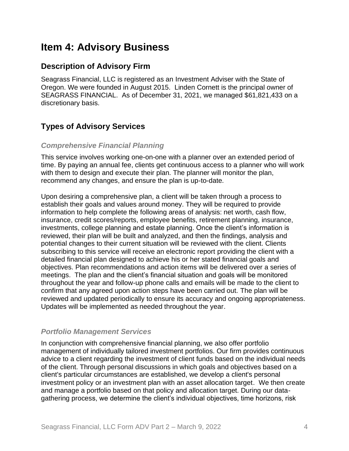## <span id="page-3-0"></span>**Item 4: Advisory Business**

### **Description of Advisory Firm**

Seagrass Financial, LLC is registered as an Investment Adviser with the State of Oregon. We were founded in August 2015. Linden Cornett is the principal owner of SEAGRASS FINANCIAL. As of December 31, 2021, we managed \$61,821,433 on a discretionary basis.

### **Types of Advisory Services**

#### *Comprehensive Financial Planning*

This service involves working one-on-one with a planner over an extended period of time. By paying an annual fee, clients get continuous access to a planner who will work with them to design and execute their plan. The planner will monitor the plan, recommend any changes, and ensure the plan is up-to-date.

Upon desiring a comprehensive plan, a client will be taken through a process to establish their goals and values around money. They will be required to provide information to help complete the following areas of analysis: net worth, cash flow, insurance, credit scores/reports, employee benefits, retirement planning, insurance, investments, college planning and estate planning. Once the client's information is reviewed, their plan will be built and analyzed, and then the findings, analysis and potential changes to their current situation will be reviewed with the client. Clients subscribing to this service will receive an electronic report providing the client with a detailed financial plan designed to achieve his or her stated financial goals and objectives. Plan recommendations and action items will be delivered over a series of meetings. The plan and the client's financial situation and goals will be monitored throughout the year and follow-up phone calls and emails will be made to the client to confirm that any agreed upon action steps have been carried out. The plan will be reviewed and updated periodically to ensure its accuracy and ongoing appropriateness. Updates will be implemented as needed throughout the year.

#### *Portfolio Management Services*

In conjunction with comprehensive financial planning, we also offer portfolio management of individually tailored investment portfolios. Our firm provides continuous advice to a client regarding the investment of client funds based on the individual needs of the client. Through personal discussions in which goals and objectives based on a client's particular circumstances are established, we develop a client's personal investment policy or an investment plan with an asset allocation target. We then create and manage a portfolio based on that policy and allocation target. During our datagathering process, we determine the client's individual objectives, time horizons, risk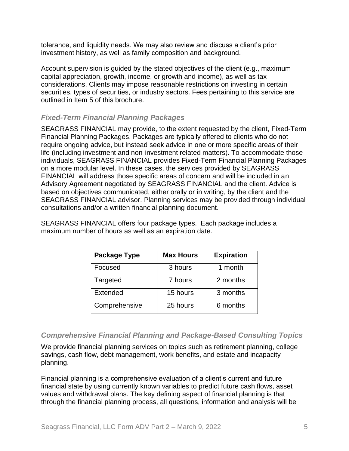tolerance, and liquidity needs. We may also review and discuss a client's prior investment history, as well as family composition and background.

Account supervision is guided by the stated objectives of the client (e.g., maximum capital appreciation, growth, income, or growth and income), as well as tax considerations. Clients may impose reasonable restrictions on investing in certain securities, types of securities, or industry sectors. Fees pertaining to this service are outlined in Item 5 of this brochure.

#### *Fixed-Term Financial Planning Packages*

SEAGRASS FINANCIAL may provide, to the extent requested by the client, Fixed-Term Financial Planning Packages. Packages are typically offered to clients who do not require ongoing advice, but instead seek advice in one or more specific areas of their life (including investment and non-investment related matters). To accommodate those individuals, SEAGRASS FINANCIAL provides Fixed-Term Financial Planning Packages on a more modular level. In these cases, the services provided by SEAGRASS FINANCIAL will address those specific areas of concern and will be included in an Advisory Agreement negotiated by SEAGRASS FINANCIAL and the client. Advice is based on objectives communicated, either orally or in writing, by the client and the SEAGRASS FINANCIAL advisor. Planning services may be provided through individual consultations and/or a written financial planning document.

SEAGRASS FINANCIAL offers four package types. Each package includes a maximum number of hours as well as an expiration date.

| <b>Package Type</b> | <b>Max Hours</b> | <b>Expiration</b> |  |
|---------------------|------------------|-------------------|--|
| Focused             | 3 hours          | 1 month           |  |
| Targeted            | 7 hours          | 2 months          |  |
| <b>Extended</b>     | 15 hours         | 3 months          |  |
| Comprehensive       | 25 hours         | 6 months          |  |

#### *Comprehensive Financial Planning and Package-Based Consulting Topics*

We provide financial planning services on topics such as retirement planning, college savings, cash flow, debt management, work benefits, and estate and incapacity planning.

Financial planning is a comprehensive evaluation of a client's current and future financial state by using currently known variables to predict future cash flows, asset values and withdrawal plans. The key defining aspect of financial planning is that through the financial planning process, all questions, information and analysis will be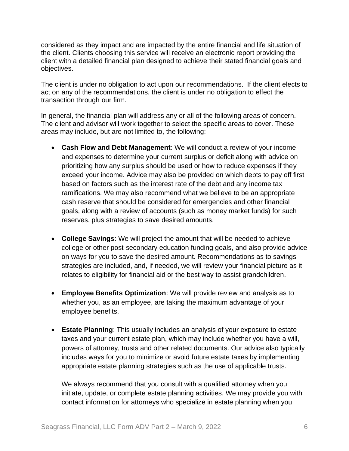considered as they impact and are impacted by the entire financial and life situation of the client. Clients choosing this service will receive an electronic report providing the client with a detailed financial plan designed to achieve their stated financial goals and objectives.

The client is under no obligation to act upon our recommendations. If the client elects to act on any of the recommendations, the client is under no obligation to effect the transaction through our firm.

In general, the financial plan will address any or all of the following areas of concern. The client and advisor will work together to select the specific areas to cover. These areas may include, but are not limited to, the following:

- **Cash Flow and Debt Management**: We will conduct a review of your income and expenses to determine your current surplus or deficit along with advice on prioritizing how any surplus should be used or how to reduce expenses if they exceed your income. Advice may also be provided on which debts to pay off first based on factors such as the interest rate of the debt and any income tax ramifications. We may also recommend what we believe to be an appropriate cash reserve that should be considered for emergencies and other financial goals, along with a review of accounts (such as money market funds) for such reserves, plus strategies to save desired amounts.
- **College Savings**: We will project the amount that will be needed to achieve college or other post-secondary education funding goals, and also provide advice on ways for you to save the desired amount. Recommendations as to savings strategies are included, and, if needed, we will review your financial picture as it relates to eligibility for financial aid or the best way to assist grandchildren.
- **Employee Benefits Optimization**: We will provide review and analysis as to whether you, as an employee, are taking the maximum advantage of your employee benefits.
- **Estate Planning**: This usually includes an analysis of your exposure to estate taxes and your current estate plan, which may include whether you have a will, powers of attorney, trusts and other related documents. Our advice also typically includes ways for you to minimize or avoid future estate taxes by implementing appropriate estate planning strategies such as the use of applicable trusts.

We always recommend that you consult with a qualified attorney when you initiate, update, or complete estate planning activities. We may provide you with contact information for attorneys who specialize in estate planning when you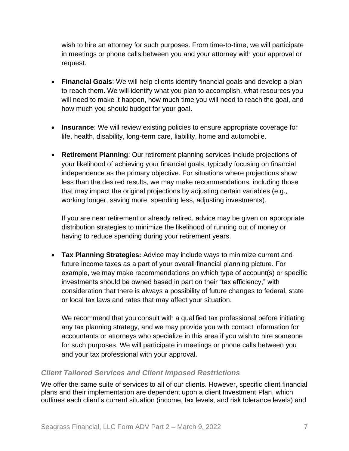wish to hire an attorney for such purposes. From time-to-time, we will participate in meetings or phone calls between you and your attorney with your approval or request.

- **Financial Goals**: We will help clients identify financial goals and develop a plan to reach them. We will identify what you plan to accomplish, what resources you will need to make it happen, how much time you will need to reach the goal, and how much you should budget for your goal.
- **Insurance**: We will review existing policies to ensure appropriate coverage for life, health, disability, long-term care, liability, home and automobile.
- **Retirement Planning**: Our retirement planning services include projections of your likelihood of achieving your financial goals, typically focusing on financial independence as the primary objective. For situations where projections show less than the desired results, we may make recommendations, including those that may impact the original projections by adjusting certain variables (e.g., working longer, saving more, spending less, adjusting investments).

If you are near retirement or already retired, advice may be given on appropriate distribution strategies to minimize the likelihood of running out of money or having to reduce spending during your retirement years.

• **Tax Planning Strategies:** Advice may include ways to minimize current and future income taxes as a part of your overall financial planning picture. For example, we may make recommendations on which type of account(s) or specific investments should be owned based in part on their "tax efficiency," with consideration that there is always a possibility of future changes to federal, state or local tax laws and rates that may affect your situation.

We recommend that you consult with a qualified tax professional before initiating any tax planning strategy, and we may provide you with contact information for accountants or attorneys who specialize in this area if you wish to hire someone for such purposes. We will participate in meetings or phone calls between you and your tax professional with your approval.

#### *Client Tailored Services and Client Imposed Restrictions*

We offer the same suite of services to all of our clients. However, specific client financial plans and their implementation are dependent upon a client Investment Plan, which outlines each client's current situation (income, tax levels, and risk tolerance levels) and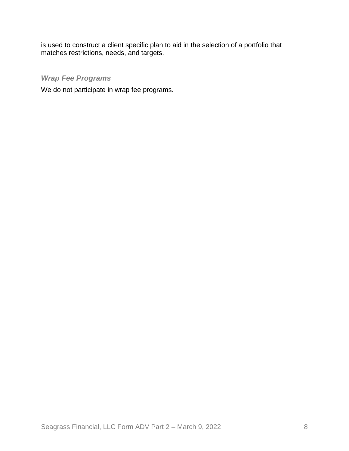is used to construct a client specific plan to aid in the selection of a portfolio that matches restrictions, needs, and targets.

#### *Wrap Fee Programs*

We do not participate in wrap fee programs.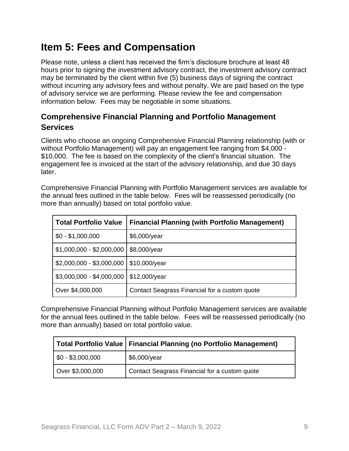# <span id="page-8-0"></span>**Item 5: Fees and Compensation**

Please note, unless a client has received the firm's disclosure brochure at least 48 hours prior to signing the investment advisory contract, the investment advisory contract may be terminated by the client within five (5) business days of signing the contract without incurring any advisory fees and without penalty. We are paid based on the type of advisory service we are performing. Please review the fee and compensation information below. Fees may be negotiable in some situations.

### **Comprehensive Financial Planning and Portfolio Management Services**

Clients who choose an ongoing Comprehensive Financial Planning relationship (with or without Portfolio Management) will pay an engagement fee ranging from \$4,000 - \$10,000. The fee is based on the complexity of the client's financial situation. The engagement fee is invoiced at the start of the advisory relationship, and due 30 days later.

Comprehensive Financial Planning with Portfolio Management services are available for the annual fees outlined in the table below. Fees will be reassessed periodically (no more than annually) based on total portfolio value.

| <b>Total Portfolio Value</b> | <b>Financial Planning (with Portfolio Management)</b> |
|------------------------------|-------------------------------------------------------|
| $$0 - $1,000,000$            | \$6,000/year                                          |
| $$1,000,000 - $2,000,000$    | \$8,000/year                                          |
| \$2,000,000 - \$3,000,000    | \$10,000/year                                         |
| $$3,000,000 - $4,000,000$    | \$12,000/year                                         |
| Over \$4,000,000             | Contact Seagrass Financial for a custom quote         |

Comprehensive Financial Planning without Portfolio Management services are available for the annual fees outlined in the table below. Fees will be reassessed periodically (no more than annually) based on total portfolio value.

|                       | Total Portfolio Value   Financial Planning (no Portfolio Management) |  |  |
|-----------------------|----------------------------------------------------------------------|--|--|
| $\$\,0 - \$3,000,000$ | \$6,000/year                                                         |  |  |
| Over \$3,000,000      | Contact Seagrass Financial for a custom quote                        |  |  |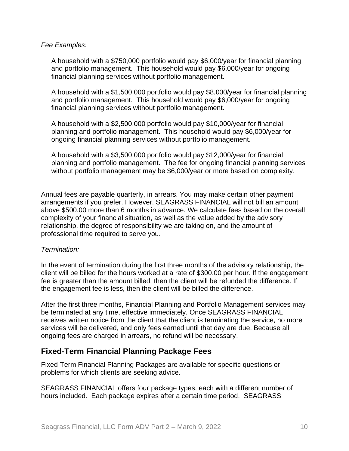#### *Fee Examples:*

A household with a \$750,000 portfolio would pay \$6,000/year for financial planning and portfolio management. This household would pay \$6,000/year for ongoing financial planning services without portfolio management.

A household with a \$1,500,000 portfolio would pay \$8,000/year for financial planning and portfolio management. This household would pay \$6,000/year for ongoing financial planning services without portfolio management.

A household with a \$2,500,000 portfolio would pay \$10,000/year for financial planning and portfolio management. This household would pay \$6,000/year for ongoing financial planning services without portfolio management.

A household with a \$3,500,000 portfolio would pay \$12,000/year for financial planning and portfolio management. The fee for ongoing financial planning services without portfolio management may be \$6,000/year or more based on complexity.

Annual fees are payable quarterly, in arrears. You may make certain other payment arrangements if you prefer. However, SEAGRASS FINANCIAL will not bill an amount above \$500.00 more than 6 months in advance. We calculate fees based on the overall complexity of your financial situation, as well as the value added by the advisory relationship, the degree of responsibility we are taking on, and the amount of professional time required to serve you.

#### *Termination:*

In the event of termination during the first three months of the advisory relationship, the client will be billed for the hours worked at a rate of \$300.00 per hour. If the engagement fee is greater than the amount billed, then the client will be refunded the difference. If the engagement fee is less, then the client will be billed the difference.

After the first three months, Financial Planning and Portfolio Management services may be terminated at any time, effective immediately. Once SEAGRASS FINANCIAL receives written notice from the client that the client is terminating the service, no more services will be delivered, and only fees earned until that day are due. Because all ongoing fees are charged in arrears, no refund will be necessary.

#### **Fixed-Term Financial Planning Package Fees**

Fixed-Term Financial Planning Packages are available for specific questions or problems for which clients are seeking advice.

SEAGRASS FINANCIAL offers four package types, each with a different number of hours included. Each package expires after a certain time period. SEAGRASS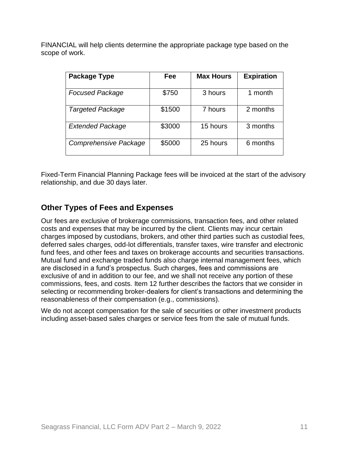FINANCIAL will help clients determine the appropriate package type based on the scope of work.

| <b>Package Type</b>     | Fee    | <b>Max Hours</b> | <b>Expiration</b> |
|-------------------------|--------|------------------|-------------------|
| <b>Focused Package</b>  | \$750  | 3 hours          | 1 month           |
| <b>Targeted Package</b> | \$1500 | 7 hours          | 2 months          |
| <b>Extended Package</b> | \$3000 | 15 hours         | 3 months          |
| Comprehensive Package   | \$5000 | 25 hours         | 6 months          |

Fixed-Term Financial Planning Package fees will be invoiced at the start of the advisory relationship, and due 30 days later.

### **Other Types of Fees and Expenses**

Our fees are exclusive of brokerage commissions, transaction fees, and other related costs and expenses that may be incurred by the client. Clients may incur certain charges imposed by custodians, brokers, and other third parties such as custodial fees, deferred sales charges, odd-lot differentials, transfer taxes, wire transfer and electronic fund fees, and other fees and taxes on brokerage accounts and securities transactions. Mutual fund and exchange traded funds also charge internal management fees, which are disclosed in a fund's prospectus. Such charges, fees and commissions are exclusive of and in addition to our fee, and we shall not receive any portion of these commissions, fees, and costs. Item 12 further describes the factors that we consider in selecting or recommending broker-dealers for client's transactions and determining the reasonableness of their compensation (e.g., commissions).

We do not accept compensation for the sale of securities or other investment products including asset-based sales charges or service fees from the sale of mutual funds.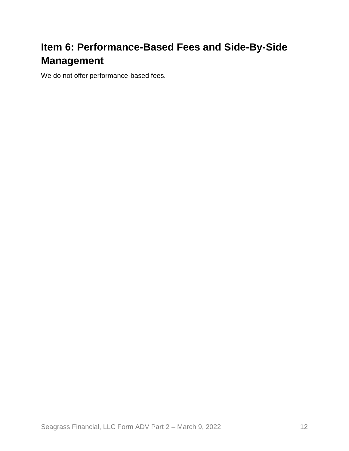# <span id="page-11-0"></span>**Item 6: Performance-Based Fees and Side-By-Side Management**

We do not offer performance-based fees.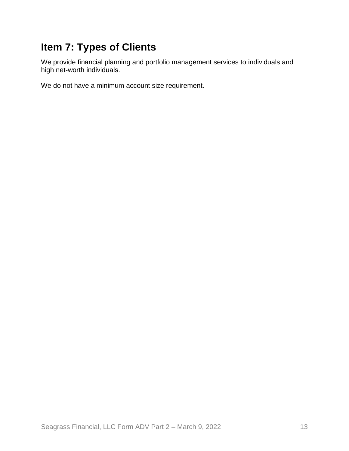# <span id="page-12-0"></span>**Item 7: Types of Clients**

We provide financial planning and portfolio management services to individuals and high net-worth individuals.

We do not have a minimum account size requirement.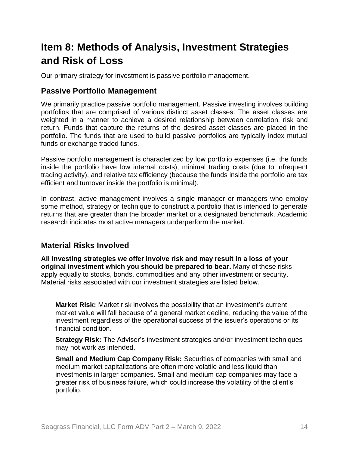# <span id="page-13-0"></span>**Item 8: Methods of Analysis, Investment Strategies and Risk of Loss**

Our primary strategy for investment is passive portfolio management.

### **Passive Portfolio Management**

We primarily practice passive portfolio management. Passive investing involves building portfolios that are comprised of various distinct asset classes. The asset classes are weighted in a manner to achieve a desired relationship between correlation, risk and return. Funds that capture the returns of the desired asset classes are placed in the portfolio. The funds that are used to build passive portfolios are typically index mutual funds or exchange traded funds.

Passive portfolio management is characterized by low portfolio expenses (i.e. the funds inside the portfolio have low internal costs), minimal trading costs (due to infrequent trading activity), and relative tax efficiency (because the funds inside the portfolio are tax efficient and turnover inside the portfolio is minimal).

In contrast, active management involves a single manager or managers who employ some method, strategy or technique to construct a portfolio that is intended to generate returns that are greater than the broader market or a designated benchmark. Academic research indicates most active managers underperform the market.

### **Material Risks Involved**

**All investing strategies we offer involve risk and may result in a loss of your original investment which you should be prepared to bear.** Many of these risks apply equally to stocks, bonds, commodities and any other investment or security. Material risks associated with our investment strategies are listed below.

**Market Risk:** Market risk involves the possibility that an investment's current market value will fall because of a general market decline, reducing the value of the investment regardless of the operational success of the issuer's operations or its financial condition.

**Strategy Risk:** The Adviser's investment strategies and/or investment techniques may not work as intended.

**Small and Medium Cap Company Risk:** Securities of companies with small and medium market capitalizations are often more volatile and less liquid than investments in larger companies. Small and medium cap companies may face a greater risk of business failure, which could increase the volatility of the client's portfolio.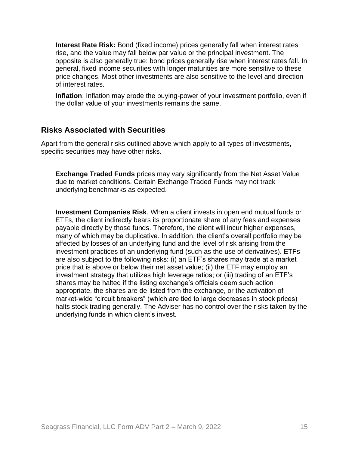**Interest Rate Risk:** Bond (fixed income) prices generally fall when interest rates rise, and the value may fall below par value or the principal investment. The opposite is also generally true: bond prices generally rise when interest rates fall. In general, fixed income securities with longer maturities are more sensitive to these price changes. Most other investments are also sensitive to the level and direction of interest rates.

**Inflation**: Inflation may erode the buying-power of your investment portfolio, even if the dollar value of your investments remains the same.

#### **Risks Associated with Securities**

Apart from the general risks outlined above which apply to all types of investments, specific securities may have other risks.

**Exchange Traded Funds** prices may vary significantly from the Net Asset Value due to market conditions. Certain Exchange Traded Funds may not track underlying benchmarks as expected.

**Investment Companies Risk**. When a client invests in open end mutual funds or ETFs, the client indirectly bears its proportionate share of any fees and expenses payable directly by those funds. Therefore, the client will incur higher expenses, many of which may be duplicative. In addition, the client's overall portfolio may be affected by losses of an underlying fund and the level of risk arising from the investment practices of an underlying fund (such as the use of derivatives). ETFs are also subject to the following risks: (i) an ETF's shares may trade at a market price that is above or below their net asset value; (ii) the ETF may employ an investment strategy that utilizes high leverage ratios; or (iii) trading of an ETF's shares may be halted if the listing exchange's officials deem such action appropriate, the shares are de-listed from the exchange, or the activation of market-wide "circuit breakers" (which are tied to large decreases in stock prices) halts stock trading generally. The Adviser has no control over the risks taken by the underlying funds in which client's invest.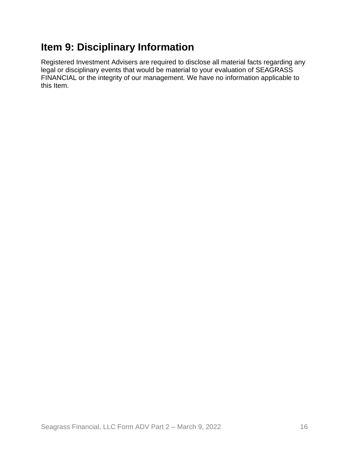# <span id="page-15-0"></span>**Item 9: Disciplinary Information**

Registered Investment Advisers are required to disclose all material facts regarding any legal or disciplinary events that would be material to your evaluation of SEAGRASS FINANCIAL or the integrity of our management. We have no information applicable to this Item.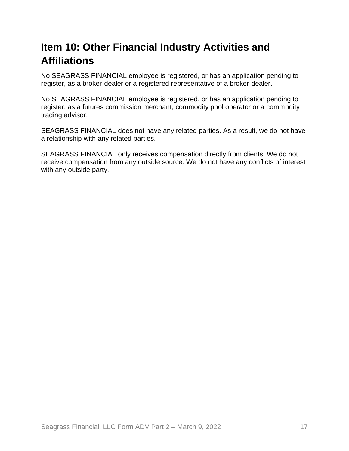# <span id="page-16-0"></span>**Item 10: Other Financial Industry Activities and Affiliations**

No SEAGRASS FINANCIAL employee is registered, or has an application pending to register, as a broker-dealer or a registered representative of a broker-dealer.

No SEAGRASS FINANCIAL employee is registered, or has an application pending to register, as a futures commission merchant, commodity pool operator or a commodity trading advisor.

SEAGRASS FINANCIAL does not have any related parties. As a result, we do not have a relationship with any related parties.

SEAGRASS FINANCIAL only receives compensation directly from clients. We do not receive compensation from any outside source. We do not have any conflicts of interest with any outside party.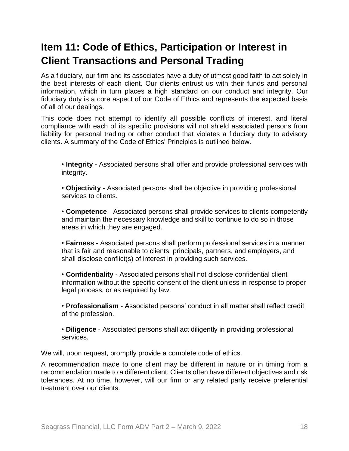# <span id="page-17-0"></span>**Item 11: Code of Ethics, Participation or Interest in Client Transactions and Personal Trading**

As a fiduciary, our firm and its associates have a duty of utmost good faith to act solely in the best interests of each client. Our clients entrust us with their funds and personal information, which in turn places a high standard on our conduct and integrity. Our fiduciary duty is a core aspect of our Code of Ethics and represents the expected basis of all of our dealings.

This code does not attempt to identify all possible conflicts of interest, and literal compliance with each of its specific provisions will not shield associated persons from liability for personal trading or other conduct that violates a fiduciary duty to advisory clients. A summary of the Code of Ethics' Principles is outlined below.

• **Integrity** - Associated persons shall offer and provide professional services with integrity.

• **Objectivity** - Associated persons shall be objective in providing professional services to clients.

• **Competence** - Associated persons shall provide services to clients competently and maintain the necessary knowledge and skill to continue to do so in those areas in which they are engaged.

• **Fairness** - Associated persons shall perform professional services in a manner that is fair and reasonable to clients, principals, partners, and employers, and shall disclose conflict(s) of interest in providing such services.

• **Confidentiality** - Associated persons shall not disclose confidential client information without the specific consent of the client unless in response to proper legal process, or as required by law.

• **Professionalism** - Associated persons' conduct in all matter shall reflect credit of the profession.

• **Diligence** - Associated persons shall act diligently in providing professional services.

We will, upon request, promptly provide a complete code of ethics.

A recommendation made to one client may be different in nature or in timing from a recommendation made to a different client. Clients often have different objectives and risk tolerances. At no time, however, will our firm or any related party receive preferential treatment over our clients.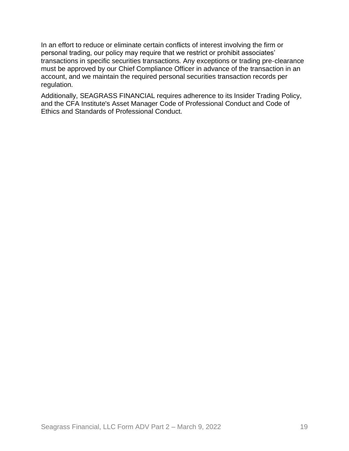In an effort to reduce or eliminate certain conflicts of interest involving the firm or personal trading, our policy may require that we restrict or prohibit associates' transactions in specific securities transactions. Any exceptions or trading pre‐clearance must be approved by our Chief Compliance Officer in advance of the transaction in an account, and we maintain the required personal securities transaction records per regulation.

Additionally, SEAGRASS FINANCIAL requires adherence to its Insider Trading Policy, and the CFA Institute's Asset Manager Code of Professional Conduct and Code of Ethics and Standards of Professional Conduct.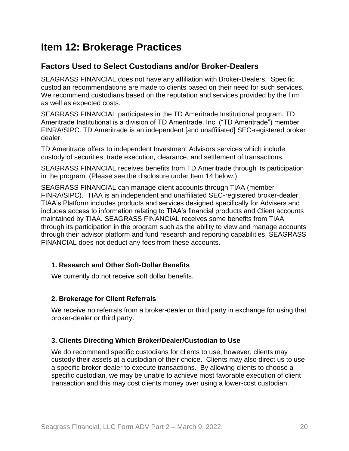## <span id="page-19-0"></span>**Item 12: Brokerage Practices**

### **Factors Used to Select Custodians and/or Broker-Dealers**

SEAGRASS FINANCIAL does not have any affiliation with Broker-Dealers. Specific custodian recommendations are made to clients based on their need for such services. We recommend custodians based on the reputation and services provided by the firm as well as expected costs.

SEAGRASS FINANCIAL participates in the TD Ameritrade Institutional program. TD Ameritrade Institutional is a division of TD Ameritrade, Inc. ("TD Ameritrade") member FINRA/SIPC. TD Ameritrade is an independent [and unaffiliated] SEC-registered broker dealer.

TD Ameritrade offers to independent Investment Advisors services which include custody of securities, trade execution, clearance, and settlement of transactions.

SEAGRASS FINANCIAL receives benefits from TD Ameritrade through its participation in the program. (Please see the disclosure under Item 14 below.)

SEAGRASS FINANCIAL can manage client accounts through TIAA (member FINRA/SIPC). TIAA is an independent and unaffiliated SEC-registered broker-dealer. TIAA's Platform includes products and services designed specifically for Advisers and includes access to information relating to TIAA's financial products and Client accounts maintained by TIAA. SEAGRASS FINANCIAL receives some benefits from TIAA through its participation in the program such as the ability to view and manage accounts through their advisor platform and fund research and reporting capabilities. SEAGRASS FINANCIAL does not deduct any fees from these accounts.

#### **1. Research and Other Soft-Dollar Benefits**

We currently do not receive soft dollar benefits.

#### **2. Brokerage for Client Referrals**

We receive no referrals from a broker-dealer or third party in exchange for using that broker-dealer or third party.

#### **3. Clients Directing Which Broker/Dealer/Custodian to Use**

We do recommend specific custodians for clients to use, however, clients may custody their assets at a custodian of their choice. Clients may also direct us to use a specific broker-dealer to execute transactions. By allowing clients to choose a specific custodian, we may be unable to achieve most favorable execution of client transaction and this may cost clients money over using a lower-cost custodian.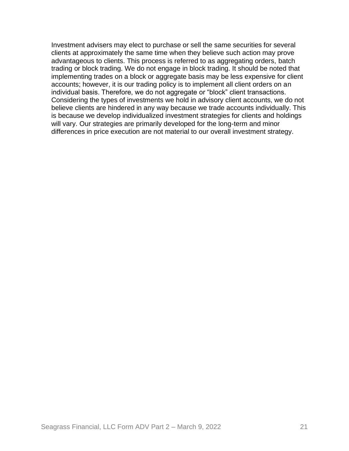Investment advisers may elect to purchase or sell the same securities for several clients at approximately the same time when they believe such action may prove advantageous to clients. This process is referred to as aggregating orders, batch trading or block trading. We do not engage in block trading. It should be noted that implementing trades on a block or aggregate basis may be less expensive for client accounts; however, it is our trading policy is to implement all client orders on an individual basis. Therefore, we do not aggregate or "block" client transactions. Considering the types of investments we hold in advisory client accounts, we do not believe clients are hindered in any way because we trade accounts individually. This is because we develop individualized investment strategies for clients and holdings will vary. Our strategies are primarily developed for the long-term and minor differences in price execution are not material to our overall investment strategy.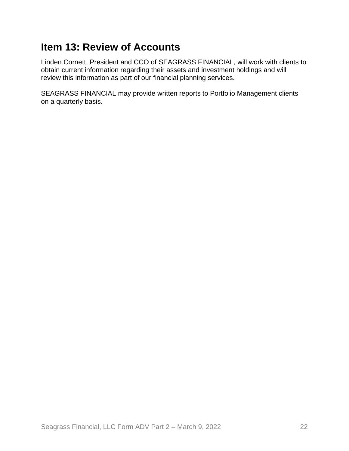## <span id="page-21-0"></span>**Item 13: Review of Accounts**

Linden Cornett, President and CCO of SEAGRASS FINANCIAL, will work with clients to obtain current information regarding their assets and investment holdings and will review this information as part of our financial planning services.

SEAGRASS FINANCIAL may provide written reports to Portfolio Management clients on a quarterly basis.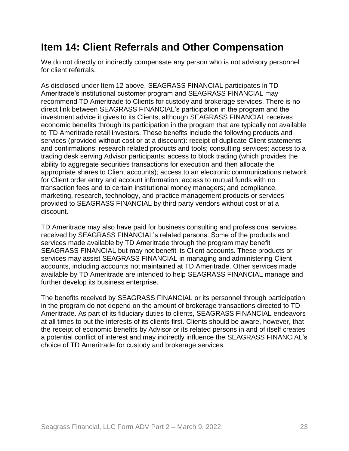## <span id="page-22-0"></span>**Item 14: Client Referrals and Other Compensation**

We do not directly or indirectly compensate any person who is not advisory personnel for client referrals.

As disclosed under Item 12 above, SEAGRASS FINANCIAL participates in TD Ameritrade's institutional customer program and SEAGRASS FINANCIAL may recommend TD Ameritrade to Clients for custody and brokerage services. There is no direct link between SEAGRASS FINANCIAL's participation in the program and the investment advice it gives to its Clients, although SEAGRASS FINANCIAL receives economic benefits through its participation in the program that are typically not available to TD Ameritrade retail investors. These benefits include the following products and services (provided without cost or at a discount): receipt of duplicate Client statements and confirmations; research related products and tools; consulting services; access to a trading desk serving Advisor participants; access to block trading (which provides the ability to aggregate securities transactions for execution and then allocate the appropriate shares to Client accounts); access to an electronic communications network for Client order entry and account information; access to mutual funds with no transaction fees and to certain institutional money managers; and compliance, marketing, research, technology, and practice management products or services provided to SEAGRASS FINANCIAL by third party vendors without cost or at a discount.

TD Ameritrade may also have paid for business consulting and professional services received by SEAGRASS FINANCIAL's related persons. Some of the products and services made available by TD Ameritrade through the program may benefit SEAGRASS FINANCIAL but may not benefit its Client accounts. These products or services may assist SEAGRASS FINANCIAL in managing and administering Client accounts, including accounts not maintained at TD Ameritrade. Other services made available by TD Ameritrade are intended to help SEAGRASS FINANCIAL manage and further develop its business enterprise.

The benefits received by SEAGRASS FINANCIAL or its personnel through participation in the program do not depend on the amount of brokerage transactions directed to TD Ameritrade. As part of its fiduciary duties to clients, SEAGRASS FINANCIAL endeavors at all times to put the interests of its clients first. Clients should be aware, however, that the receipt of economic benefits by Advisor or its related persons in and of itself creates a potential conflict of interest and may indirectly influence the SEAGRASS FINANCIAL's choice of TD Ameritrade for custody and brokerage services.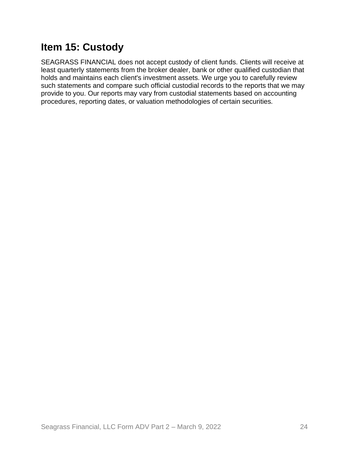# <span id="page-23-0"></span>**Item 15: Custody**

SEAGRASS FINANCIAL does not accept custody of client funds. Clients will receive at least quarterly statements from the broker dealer, bank or other qualified custodian that holds and maintains each client's investment assets. We urge you to carefully review such statements and compare such official custodial records to the reports that we may provide to you. Our reports may vary from custodial statements based on accounting procedures, reporting dates, or valuation methodologies of certain securities.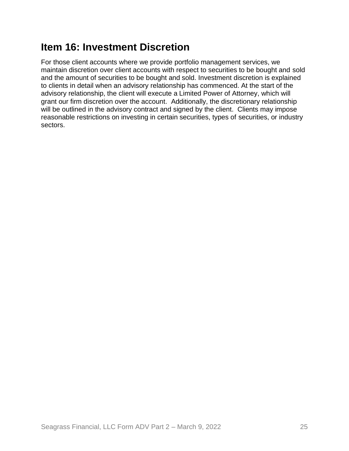# <span id="page-24-0"></span>**Item 16: Investment Discretion**

For those client accounts where we provide portfolio management services, we maintain discretion over client accounts with respect to securities to be bought and sold and the amount of securities to be bought and sold. Investment discretion is explained to clients in detail when an advisory relationship has commenced. At the start of the advisory relationship, the client will execute a Limited Power of Attorney, which will grant our firm discretion over the account. Additionally, the discretionary relationship will be outlined in the advisory contract and signed by the client. Clients may impose reasonable restrictions on investing in certain securities, types of securities, or industry sectors.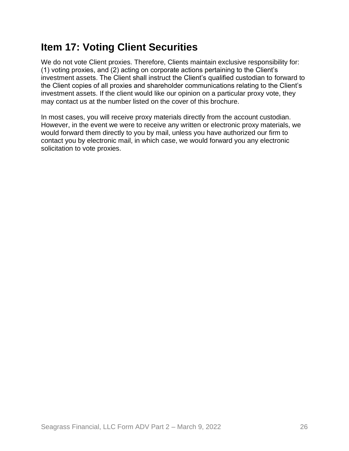# <span id="page-25-0"></span>**Item 17: Voting Client Securities**

We do not vote Client proxies. Therefore, Clients maintain exclusive responsibility for: (1) voting proxies, and (2) acting on corporate actions pertaining to the Client's investment assets. The Client shall instruct the Client's qualified custodian to forward to the Client copies of all proxies and shareholder communications relating to the Client's investment assets. If the client would like our opinion on a particular proxy vote, they may contact us at the number listed on the cover of this brochure.

In most cases, you will receive proxy materials directly from the account custodian. However, in the event we were to receive any written or electronic proxy materials, we would forward them directly to you by mail, unless you have authorized our firm to contact you by electronic mail, in which case, we would forward you any electronic solicitation to vote proxies.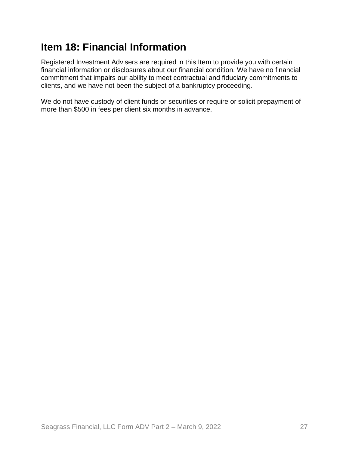# <span id="page-26-0"></span>**Item 18: Financial Information**

Registered Investment Advisers are required in this Item to provide you with certain financial information or disclosures about our financial condition. We have no financial commitment that impairs our ability to meet contractual and fiduciary commitments to clients, and we have not been the subject of a bankruptcy proceeding.

We do not have custody of client funds or securities or require or solicit prepayment of more than \$500 in fees per client six months in advance.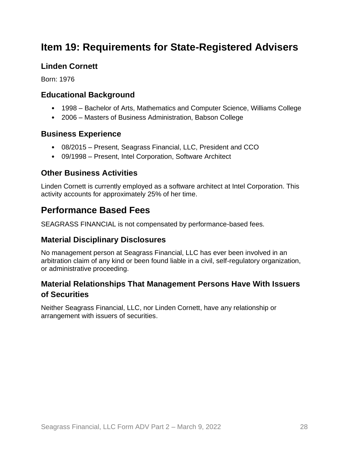## <span id="page-27-0"></span>**Item 19: Requirements for State-Registered Advisers**

### **Linden Cornett**

Born: 1976

### **Educational Background**

- 1998 Bachelor of Arts, Mathematics and Computer Science, Williams College
- 2006 Masters of Business Administration, Babson College

### **Business Experience**

- 08/2015 Present, Seagrass Financial, LLC, President and CCO
- 09/1998 Present, Intel Corporation, Software Architect

### **Other Business Activities**

Linden Cornett is currently employed as a software architect at Intel Corporation. This activity accounts for approximately 25% of her time.

## **Performance Based Fees**

SEAGRASS FINANCIAL is not compensated by performance-based fees.

### **Material Disciplinary Disclosures**

No management person at Seagrass Financial, LLC has ever been involved in an arbitration claim of any kind or been found liable in a civil, self-regulatory organization, or administrative proceeding.

### **Material Relationships That Management Persons Have With Issuers of Securities**

Neither Seagrass Financial, LLC, nor Linden Cornett, have any relationship or arrangement with issuers of securities.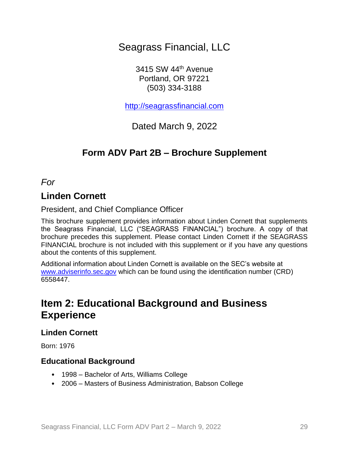Seagrass Financial, LLC

3415 SW 44th Avenue Portland, OR 97221 (503) 334-3188

[http://seagrassfinancial.com](http://seagrassfinancial.com/)

Dated March 9, 2022

## **Form ADV Part 2B – Brochure Supplement**

*For*

### **Linden Cornett**

President, and Chief Compliance Officer

This brochure supplement provides information about Linden Cornett that supplements the Seagrass Financial, LLC ("SEAGRASS FINANCIAL") brochure. A copy of that brochure precedes this supplement. Please contact Linden Cornett if the SEAGRASS FINANCIAL brochure is not included with this supplement or if you have any questions about the contents of this supplement.

Additional information about Linden Cornett is available on the SEC's website at [www.adviserinfo.sec.gov](http://www.adviserinfo.sec.gov/) which can be found using the identification number (CRD) 6558447.

## **Item 2: Educational Background and Business Experience**

### **Linden Cornett**

Born: 1976

#### **Educational Background**

- 1998 Bachelor of Arts, Williams College
- 2006 Masters of Business Administration, Babson College